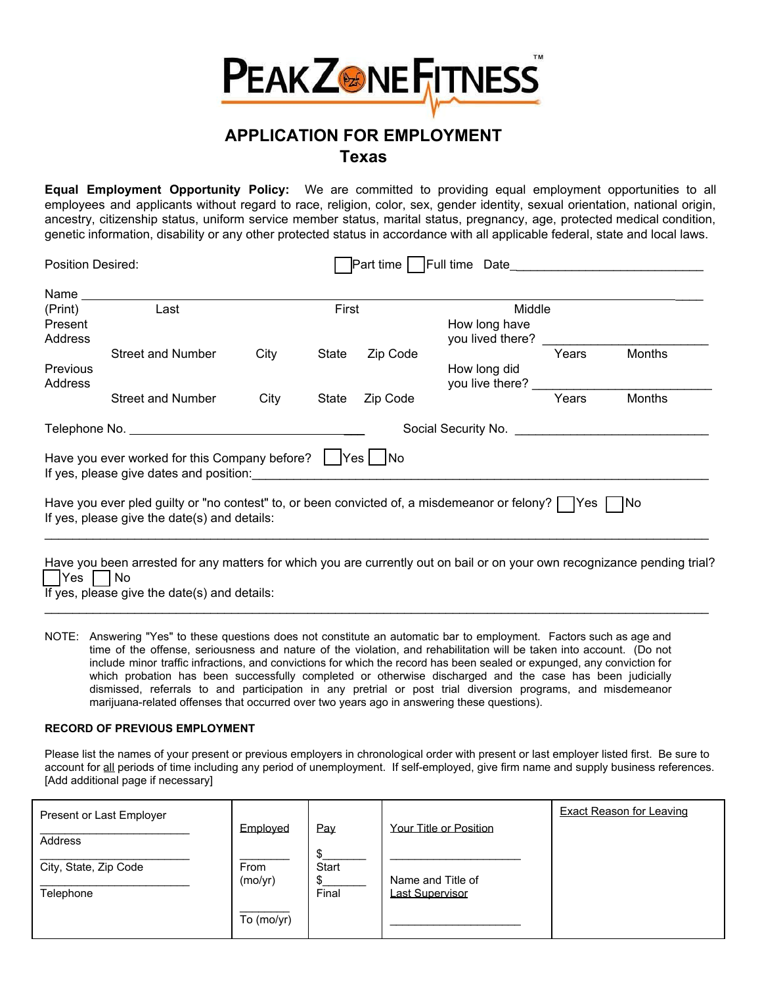

# **APPLICATION FOR EMPLOYMENT Texas**

**Equal Employment Opportunity Policy:** We are committed to providing equal employment opportunities to all employees and applicants without regard to race, religion, color, sex, gender identity, sexual orientation, national origin, ancestry, citizenship status, uniform service member status, marital status, pregnancy, age, protected medical condition, genetic information, disability or any other protected status in accordance with all applicable federal, state and local laws.

| Position Desired:                                                                                               |                                                                                                                                                                                                                                                                                                       |       |       |          | Part time   Full time Date |       |               |
|-----------------------------------------------------------------------------------------------------------------|-------------------------------------------------------------------------------------------------------------------------------------------------------------------------------------------------------------------------------------------------------------------------------------------------------|-------|-------|----------|----------------------------|-------|---------------|
| Name and the state of the state of the state of the state of the state of the state of the state of the state o |                                                                                                                                                                                                                                                                                                       |       |       |          |                            |       |               |
| (Print)                                                                                                         | Last                                                                                                                                                                                                                                                                                                  | First |       |          | Middle                     |       |               |
| Present                                                                                                         |                                                                                                                                                                                                                                                                                                       |       |       |          | How long have              |       |               |
| Address                                                                                                         |                                                                                                                                                                                                                                                                                                       |       |       |          | you lived there?           |       |               |
|                                                                                                                 | <b>Street and Number</b>                                                                                                                                                                                                                                                                              | City  | State | Zip Code |                            | Years | <b>Months</b> |
| <b>Previous</b>                                                                                                 |                                                                                                                                                                                                                                                                                                       |       |       |          | How long did               |       |               |
| Address                                                                                                         |                                                                                                                                                                                                                                                                                                       |       |       |          | you live there?            |       |               |
|                                                                                                                 | Street and Number                                                                                                                                                                                                                                                                                     | City  | State | Zip Code |                            | Years | <b>Months</b> |
|                                                                                                                 |                                                                                                                                                                                                                                                                                                       |       |       |          |                            |       |               |
|                                                                                                                 | Have you ever worked for this Company before? $\vert$ Yes $\vert$ No<br>If yes, please give dates and position: The state of the state of the state of the state of the state of the state of the state of the state of the state of the state of the state of the state of the state of the state of |       |       |          |                            |       |               |
|                                                                                                                 | Have you ever pled guilty or "no contest" to, or been convicted of, a misdemeanor or felony? $\Box$ Yes $\Box$ No<br>If yes, please give the date(s) and details:                                                                                                                                     |       |       |          |                            |       |               |
|                                                                                                                 | Have you been arrested for any matters for which you are currently out on bail or on your own recognizance pending trial?                                                                                                                                                                             |       |       |          |                            |       |               |

 $| Yes |$   $| No$ 

If yes, please give the date(s) and details:

NOTE: Answering "Yes" to these questions does not constitute an automatic bar to employment. Factors such as age and time of the offense, seriousness and nature of the violation, and rehabilitation will be taken into account. (Do not include minor traffic infractions, and convictions for which the record has been sealed or expunged, any conviction for which probation has been successfully completed or otherwise discharged and the case has been judicially dismissed, referrals to and participation in any pretrial or post trial diversion programs, and misdemeanor marijuana-related offenses that occurred over two years ago in answering these questions).

 $\_$  ,  $\_$  ,  $\_$  ,  $\_$  ,  $\_$  ,  $\_$  ,  $\_$  ,  $\_$  ,  $\_$  ,  $\_$  ,  $\_$  ,  $\_$  ,  $\_$  ,  $\_$  ,  $\_$  ,  $\_$  ,  $\_$  ,  $\_$  ,  $\_$  ,  $\_$  ,  $\_$  ,  $\_$  ,  $\_$  ,  $\_$  ,  $\_$  ,  $\_$  ,  $\_$  ,  $\_$  ,  $\_$  ,  $\_$  ,  $\_$  ,  $\_$  ,  $\_$  ,  $\_$  ,  $\_$  ,  $\_$  ,  $\_$  ,

### **RECORD OF PREVIOUS EMPLOYMENT**

Please list the names of your present or previous employers in chronological order with present or last employer listed first. Be sure to account for all periods of time including any period of unemployment. If self-employed, give firm name and supply business references. [Add additional page if necessary]

| Present or Last Employer |            |           |                                      | <b>Exact Reason for Leaving</b> |
|--------------------------|------------|-----------|--------------------------------------|---------------------------------|
| Address                  | Emploved   | Pay<br>\$ | Your Title or Position               |                                 |
| City, State, Zip Code    | From       | Start     |                                      |                                 |
| Telephone                | (mo/yr)    | Final     | Name and Title of<br>Last Supervisor |                                 |
|                          | To (mo/yr) |           |                                      |                                 |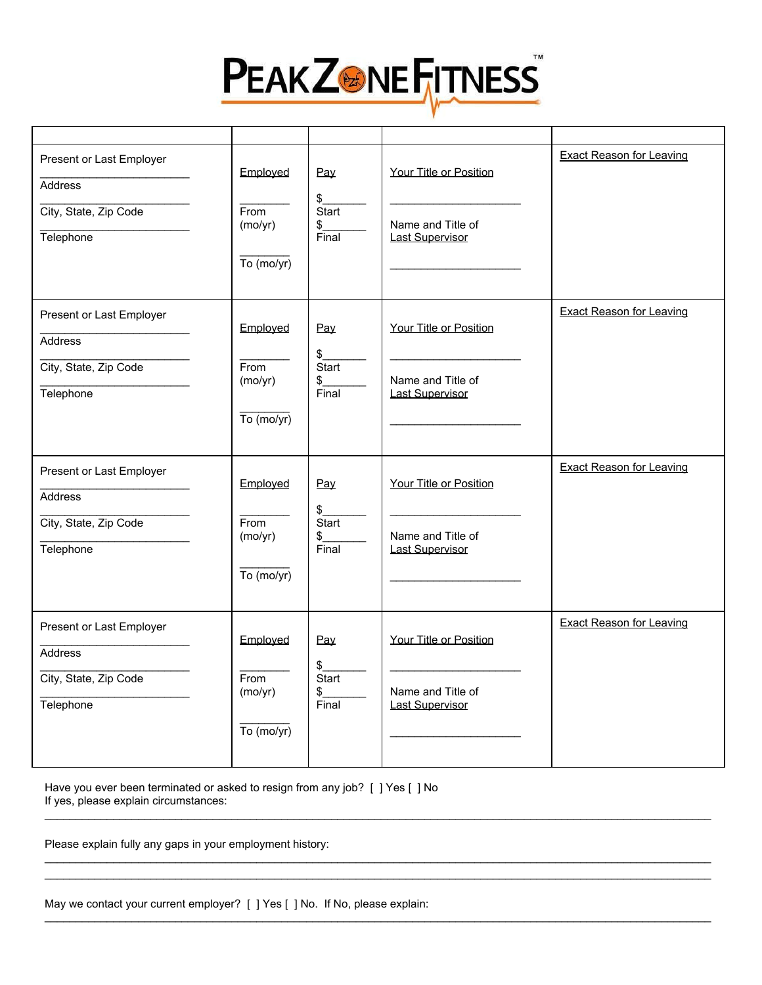

| Present or Last Employer<br>Address<br>City, State, Zip Code<br>Telephone        | Employed<br>From<br>(mo/yr)<br>$\overline{To}$ (mo/yr) | Pay<br>$\frac{1}{2}$<br>Start<br>$\frac{1}{2}$<br>Final | Your Title or Position<br>Name and Title of<br><b>Last Supervisor</b> | <b>Exact Reason for Leaving</b> |
|----------------------------------------------------------------------------------|--------------------------------------------------------|---------------------------------------------------------|-----------------------------------------------------------------------|---------------------------------|
| Present or Last Employer<br>Address<br>City, State, Zip Code<br>Telephone        | Employed<br>From<br>(mo/yr)<br>$\overline{To}$ (mo/yr) | Pay<br>$\frac{1}{2}$<br>Start<br>$\frac{1}{2}$<br>Final | Your Title or Position<br>Name and Title of<br><b>Last Supervisor</b> | <b>Exact Reason for Leaving</b> |
| Present or Last Employer<br><b>Address</b><br>City, State, Zip Code<br>Telephone | Employed<br>From<br>(mo/yr)<br>$\overline{To}$ (mo/yr) | Pay<br>\$<br>Start<br>$\frac{\$}{Final}$                | Your Title or Position<br>Name and Title of<br><b>Last Supervisor</b> | <b>Exact Reason for Leaving</b> |
| Present or Last Employer<br><b>Address</b><br>City, State, Zip Code<br>Telephone | Employed<br>From<br>(mo/yr)<br>$\overline{To}$ (mo/yr) | Pay<br>\$<br>Start<br>\$<br>Final                       | Your Title or Position<br>Name and Title of<br><b>Last Supervisor</b> | <b>Exact Reason for Leaving</b> |

\_\_\_\_\_\_\_\_\_\_\_\_\_\_\_\_\_\_\_\_\_\_\_\_\_\_\_\_\_\_\_\_\_\_\_\_\_\_\_\_\_\_\_\_\_\_\_\_\_\_\_\_\_\_\_\_\_\_\_\_\_\_\_\_\_\_\_\_\_\_\_\_\_\_\_\_\_\_\_\_\_\_\_\_\_\_\_\_\_\_\_\_\_\_\_\_\_\_\_\_\_\_\_\_\_\_\_

\_\_\_\_\_\_\_\_\_\_\_\_\_\_\_\_\_\_\_\_\_\_\_\_\_\_\_\_\_\_\_\_\_\_\_\_\_\_\_\_\_\_\_\_\_\_\_\_\_\_\_\_\_\_\_\_\_\_\_\_\_\_\_\_\_\_\_\_\_\_\_\_\_\_\_\_\_\_\_\_\_\_\_\_\_\_\_\_\_\_\_\_\_\_\_\_\_\_\_\_\_\_\_\_\_\_\_ \_\_\_\_\_\_\_\_\_\_\_\_\_\_\_\_\_\_\_\_\_\_\_\_\_\_\_\_\_\_\_\_\_\_\_\_\_\_\_\_\_\_\_\_\_\_\_\_\_\_\_\_\_\_\_\_\_\_\_\_\_\_\_\_\_\_\_\_\_\_\_\_\_\_\_\_\_\_\_\_\_\_\_\_\_\_\_\_\_\_\_\_\_\_\_\_\_\_\_\_\_\_\_\_\_\_\_

 $\mathcal{L}_\mathcal{L} = \mathcal{L}_\mathcal{L} = \mathcal{L}_\mathcal{L} = \mathcal{L}_\mathcal{L} = \mathcal{L}_\mathcal{L} = \mathcal{L}_\mathcal{L} = \mathcal{L}_\mathcal{L} = \mathcal{L}_\mathcal{L} = \mathcal{L}_\mathcal{L} = \mathcal{L}_\mathcal{L} = \mathcal{L}_\mathcal{L} = \mathcal{L}_\mathcal{L} = \mathcal{L}_\mathcal{L} = \mathcal{L}_\mathcal{L} = \mathcal{L}_\mathcal{L} = \mathcal{L}_\mathcal{L} = \mathcal{L}_\mathcal{L}$ 

Have you ever been terminated or asked to resign from any job? [ ] Yes [ ] No If yes, please explain circumstances:

Please explain fully any gaps in your employment history:

| May we contact your current employer? [ ] Yes [ ] No. If No, please explain: |  |  |
|------------------------------------------------------------------------------|--|--|
|------------------------------------------------------------------------------|--|--|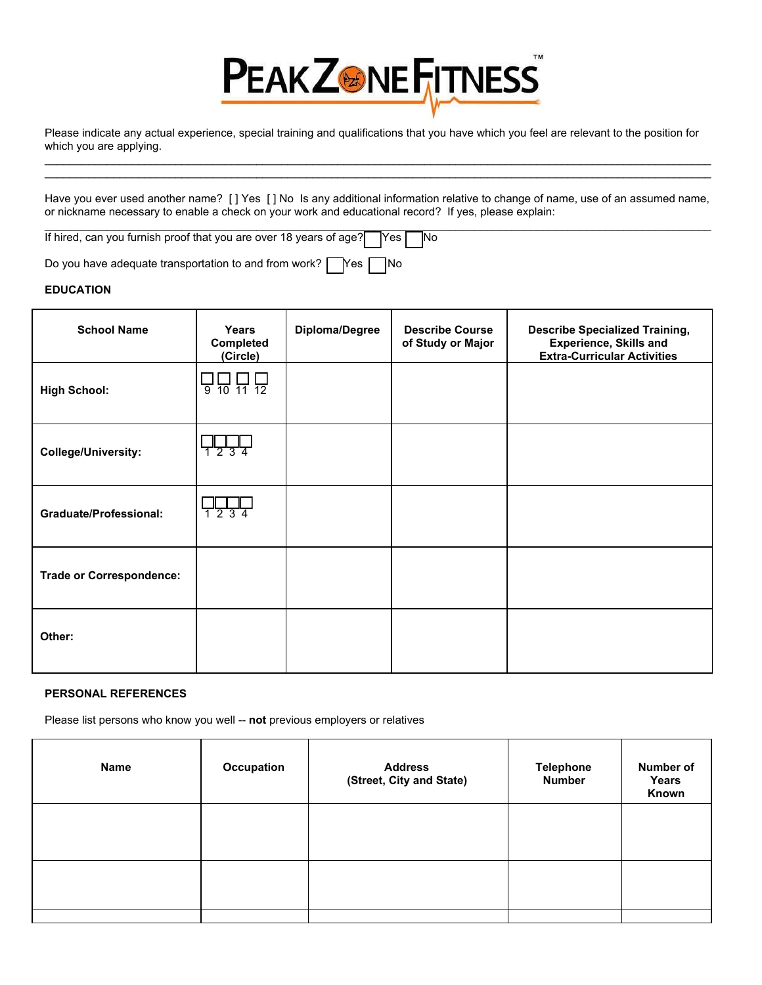

Please indicate any actual experience, special training and qualifications that you have which you feel are relevant to the position for which you are applying. \_\_\_\_\_\_\_\_\_\_\_\_\_\_\_\_\_\_\_\_\_\_\_\_\_\_\_\_\_\_\_\_\_\_\_\_\_\_\_\_\_\_\_\_\_\_\_\_\_\_\_\_\_\_\_\_\_\_\_\_\_\_\_\_\_\_\_\_\_\_\_\_\_\_\_\_\_\_\_\_\_\_\_\_\_\_\_\_\_\_\_\_\_\_\_\_\_\_\_\_\_\_\_\_\_\_\_

Have you ever used another name? [ ] Yes [ ] No Is any additional information relative to change of name, use of an assumed name, or nickname necessary to enable a check on your work and educational record? If yes, please explain: \_\_\_\_\_\_\_\_\_\_\_\_\_\_\_\_\_\_\_\_\_\_\_\_\_\_\_\_\_\_\_\_\_\_\_\_\_\_\_\_\_\_\_\_\_\_\_\_\_\_\_\_\_\_\_\_\_\_\_\_\_\_\_\_\_\_\_\_\_\_\_\_\_\_\_\_\_\_\_\_\_\_\_\_\_\_\_\_\_\_\_\_\_\_\_\_\_\_\_\_\_\_\_\_\_\_\_

\_\_\_\_\_\_\_\_\_\_\_\_\_\_\_\_\_\_\_\_\_\_\_\_\_\_\_\_\_\_\_\_\_\_\_\_\_\_\_\_\_\_\_\_\_\_\_\_\_\_\_\_\_\_\_\_\_\_\_\_\_\_\_\_\_\_\_\_\_\_\_\_\_\_\_\_\_\_\_\_\_\_\_\_\_\_\_\_\_\_\_\_\_\_\_\_\_\_\_\_\_\_\_\_\_\_\_

If hired, can you furnish proof that you are over 18 years of age? Yes No

Do you have adequate transportation to and from work?  $\Box$  Yes  $\Box$  No

#### **EDUCATION**

| <b>School Name</b>              | <b>Years</b><br>Completed<br>(Circle) | Diploma/Degree | <b>Describe Course</b><br>of Study or Major | <b>Describe Specialized Training,</b><br><b>Experience, Skills and</b><br><b>Extra-Curricular Activities</b> |
|---------------------------------|---------------------------------------|----------------|---------------------------------------------|--------------------------------------------------------------------------------------------------------------|
| <b>High School:</b>             | $\frac{1}{9}$ 10 11 12                |                |                                             |                                                                                                              |
| <b>College/University:</b>      | 1234                                  |                |                                             |                                                                                                              |
| <b>Graduate/Professional:</b>   | 1234                                  |                |                                             |                                                                                                              |
| <b>Trade or Correspondence:</b> |                                       |                |                                             |                                                                                                              |
| Other:                          |                                       |                |                                             |                                                                                                              |

#### **PERSONAL REFERENCES**

Please list persons who know you well -- **not** previous employers or relatives

| Name | Occupation | <b>Address</b><br>(Street, City and State) | <b>Telephone</b><br><b>Number</b> | Number of<br>Years<br>Known |
|------|------------|--------------------------------------------|-----------------------------------|-----------------------------|
|      |            |                                            |                                   |                             |
|      |            |                                            |                                   |                             |
|      |            |                                            |                                   |                             |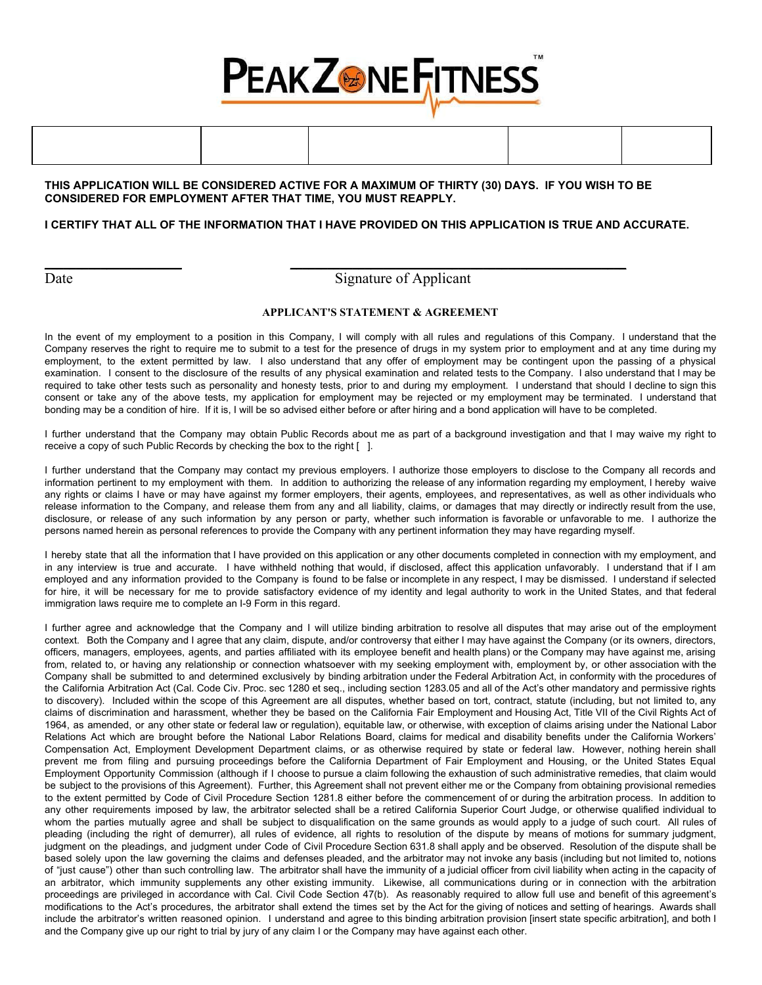

### **THIS APPLICATION WILL BE CONSIDERED ACTIVE FOR A MAXIMUM OF THIRTY (30) DAYS. IF YOU WISH TO BE CONSIDERED FOR EMPLOYMENT AFTER THAT TIME, YOU MUST REAPPLY.**

**\_\_\_\_\_\_\_\_\_\_\_\_\_\_\_\_\_\_\_\_\_\_ \_\_\_\_\_\_\_\_\_\_\_\_\_\_\_\_\_\_\_\_\_\_\_\_\_\_\_\_\_\_\_\_\_\_\_\_\_\_\_\_\_\_\_\_\_\_\_\_\_\_\_\_\_\_**

#### **I CERTIFY THAT ALL OF THE INFORMATION THAT I HAVE PROVIDED ON THIS APPLICATION IS TRUE AND ACCURATE.**

## Date Signature of Applicant

#### **APPLICANT'S STATEMENT & AGREEMENT**

In the event of my employment to a position in this Company, I will comply with all rules and regulations of this Company. I understand that the Company reserves the right to require me to submit to a test for the presence of drugs in my system prior to employment and at any time during my employment, to the extent permitted by law. I also understand that any offer of employment may be contingent upon the passing of a physical examination. I consent to the disclosure of the results of any physical examination and related tests to the Company. I also understand that I may be required to take other tests such as personality and honesty tests, prior to and during my employment. I understand that should I decline to sign this consent or take any of the above tests, my application for employment may be rejected or my employment may be terminated. I understand that bonding may be a condition of hire. If it is, I will be so advised either before or after hiring and a bond application will have to be completed.

I further understand that the Company may obtain Public Records about me as part of a background investigation and that I may waive my right to receive a copy of such Public Records by checking the box to the right [ ].

I further understand that the Company may contact my previous employers. I authorize those employers to disclose to the Company all records and information pertinent to my employment with them. In addition to authorizing the release of any information regarding my employment, I hereby waive any rights or claims I have or may have against my former employers, their agents, employees, and representatives, as well as other individuals who release information to the Company, and release them from any and all liability, claims, or damages that may directly or indirectly result from the use, disclosure, or release of any such information by any person or party, whether such information is favorable or unfavorable to me. I authorize the persons named herein as personal references to provide the Company with any pertinent information they may have regarding myself.

I hereby state that all the information that I have provided on this application or any other documents completed in connection with my employment, and in any interview is true and accurate. I have withheld nothing that would, if disclosed, affect this application unfavorably. I understand that if I am employed and any information provided to the Company is found to be false or incomplete in any respect, I may be dismissed. I understand if selected for hire, it will be necessary for me to provide satisfactory evidence of my identity and legal authority to work in the United States, and that federal immigration laws require me to complete an I-9 Form in this regard.

I further agree and acknowledge that the Company and I will utilize binding arbitration to resolve all disputes that may arise out of the employment context. Both the Company and I agree that any claim, dispute, and/or controversy that either I may have against the Company (or its owners, directors, officers, managers, employees, agents, and parties affiliated with its employee benefit and health plans) or the Company may have against me, arising from, related to, or having any relationship or connection whatsoever with my seeking employment with, employment by, or other association with the Company shall be submitted to and determined exclusively by binding arbitration under the Federal Arbitration Act, in conformity with the procedures of the California Arbitration Act (Cal. Code Civ. Proc. sec 1280 et seq., including section 1283.05 and all of the Act's other mandatory and permissive rights to discovery). Included within the scope of this Agreement are all disputes, whether based on tort, contract, statute (including, but not limited to, any claims of discrimination and harassment, whether they be based on the California Fair Employment and Housing Act, Title VII of the Civil Rights Act of 1964, as amended, or any other state or federal law or regulation), equitable law, or otherwise, with exception of claims arising under the National Labor Relations Act which are brought before the National Labor Relations Board, claims for medical and disability benefits under the California Workers' Compensation Act, Employment Development Department claims, or as otherwise required by state or federal law. However, nothing herein shall prevent me from filing and pursuing proceedings before the California Department of Fair Employment and Housing, or the United States Equal Employment Opportunity Commission (although if I choose to pursue a claim following the exhaustion of such administrative remedies, that claim would be subject to the provisions of this Agreement). Further, this Agreement shall not prevent either me or the Company from obtaining provisional remedies to the extent permitted by Code of Civil Procedure Section 1281.8 either before the commencement of or during the arbitration process. In addition to any other requirements imposed by law, the arbitrator selected shall be a retired California Superior Court Judge, or otherwise qualified individual to whom the parties mutually agree and shall be subject to disqualification on the same grounds as would apply to a judge of such court. All rules of pleading (including the right of demurrer), all rules of evidence, all rights to resolution of the dispute by means of motions for summary judgment, judgment on the pleadings, and judgment under Code of Civil Procedure Section 631.8 shall apply and be observed. Resolution of the dispute shall be based solely upon the law governing the claims and defenses pleaded, and the arbitrator may not invoke any basis (including but not limited to, notions of "just cause") other than such controlling law. The arbitrator shall have the immunity of a judicial officer from civil liability when acting in the capacity of an arbitrator, which immunity supplements any other existing immunity. Likewise, all communications during or in connection with the arbitration proceedings are privileged in accordance with Cal. Civil Code Section 47(b). As reasonably required to allow full use and benefit of this agreement's modifications to the Act's procedures, the arbitrator shall extend the times set by the Act for the giving of notices and setting of hearings. Awards shall include the arbitrator's written reasoned opinion. I understand and agree to this binding arbitration provision [insert state specific arbitration], and both I and the Company give up our right to trial by jury of any claim I or the Company may have against each other.